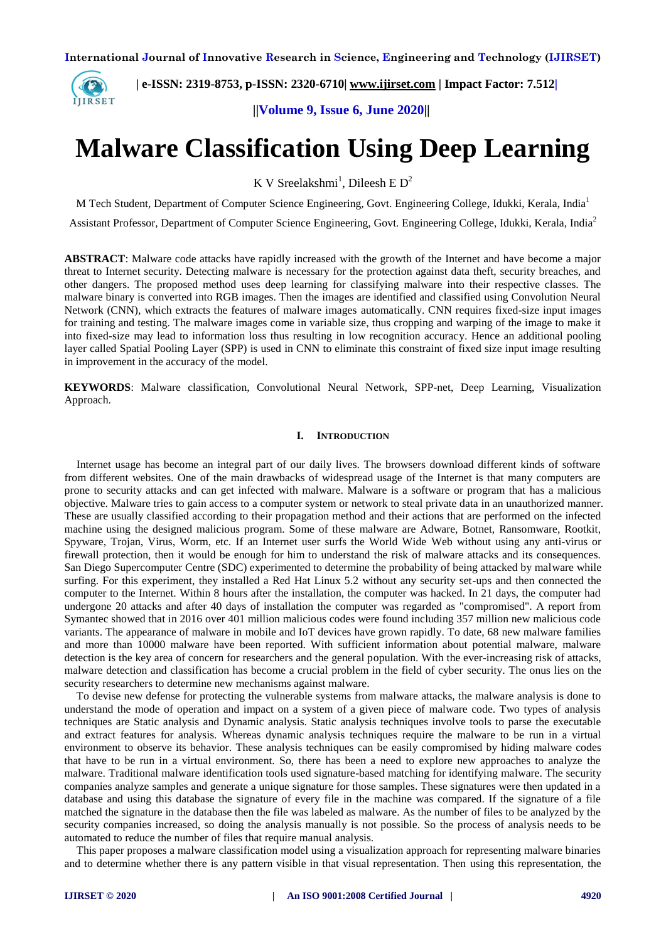

 **| e-ISSN: 2319-8753, p-ISSN: 2320-6710| www.ijirset.com | Impact Factor: 7.512|**

 **||Volume 9, Issue 6, June 2020||** 

# **Malware Classification Using Deep Learning**

K V Sreelakshmi<sup>1</sup>, Dileesh E D<sup>2</sup>

M Tech Student, Department of Computer Science Engineering, Govt. Engineering College, Idukki, Kerala, India<sup>1</sup>

Assistant Professor, Department of Computer Science Engineering, Govt. Engineering College, Idukki, Kerala, India<sup>2</sup>

**ABSTRACT**: Malware code attacks have rapidly increased with the growth of the Internet and have become a major threat to Internet security. Detecting malware is necessary for the protection against data theft, security breaches, and other dangers. The proposed method uses deep learning for classifying malware into their respective classes. The malware binary is converted into RGB images. Then the images are identified and classified using Convolution Neural Network (CNN), which extracts the features of malware images automatically. CNN requires fixed-size input images for training and testing. The malware images come in variable size, thus cropping and warping of the image to make it into fixed-size may lead to information loss thus resulting in low recognition accuracy. Hence an additional pooling layer called Spatial Pooling Layer (SPP) is used in CNN to eliminate this constraint of fixed size input image resulting in improvement in the accuracy of the model.

**KEYWORDS**: Malware classification, Convolutional Neural Network, SPP-net, Deep Learning, Visualization Approach.

# **I. INTRODUCTION**

Internet usage has become an integral part of our daily lives. The browsers download different kinds of software from different websites. One of the main drawbacks of widespread usage of the Internet is that many computers are prone to security attacks and can get infected with malware. Malware is a software or program that has a malicious objective. Malware tries to gain access to a computer system or network to steal private data in an unauthorized manner. These are usually classified according to their propagation method and their actions that are performed on the infected machine using the designed malicious program. Some of these malware are Adware, Botnet, Ransomware, Rootkit, Spyware, Trojan, Virus, Worm, etc. If an Internet user surfs the World Wide Web without using any anti-virus or firewall protection, then it would be enough for him to understand the risk of malware attacks and its consequences. San Diego Supercomputer Centre (SDC) experimented to determine the probability of being attacked by malware while surfing. For this experiment, they installed a Red Hat Linux 5.2 without any security set-ups and then connected the computer to the Internet. Within 8 hours after the installation, the computer was hacked. In 21 days, the computer had undergone 20 attacks and after 40 days of installation the computer was regarded as "compromised". A report from Symantec showed that in 2016 over 401 million malicious codes were found including 357 million new malicious code variants. The appearance of malware in mobile and IoT devices have grown rapidly. To date, 68 new malware families and more than 10000 malware have been reported. With sufficient information about potential malware, malware detection is the key area of concern for researchers and the general population. With the ever-increasing risk of attacks, malware detection and classification has become a crucial problem in the field of cyber security. The onus lies on the security researchers to determine new mechanisms against malware.

To devise new defense for protecting the vulnerable systems from malware attacks, the malware analysis is done to understand the mode of operation and impact on a system of a given piece of malware code. Two types of analysis techniques are Static analysis and Dynamic analysis. Static analysis techniques involve tools to parse the executable and extract features for analysis. Whereas dynamic analysis techniques require the malware to be run in a virtual environment to observe its behavior. These analysis techniques can be easily compromised by hiding malware codes that have to be run in a virtual environment. So, there has been a need to explore new approaches to analyze the malware. Traditional malware identification tools used signature-based matching for identifying malware. The security companies analyze samples and generate a unique signature for those samples. These signatures were then updated in a database and using this database the signature of every file in the machine was compared. If the signature of a file matched the signature in the database then the file was labeled as malware. As the number of files to be analyzed by the security companies increased, so doing the analysis manually is not possible. So the process of analysis needs to be automated to reduce the number of files that require manual analysis.

This paper proposes a malware classification model using a visualization approach for representing malware binaries and to determine whether there is any pattern visible in that visual representation. Then using this representation, the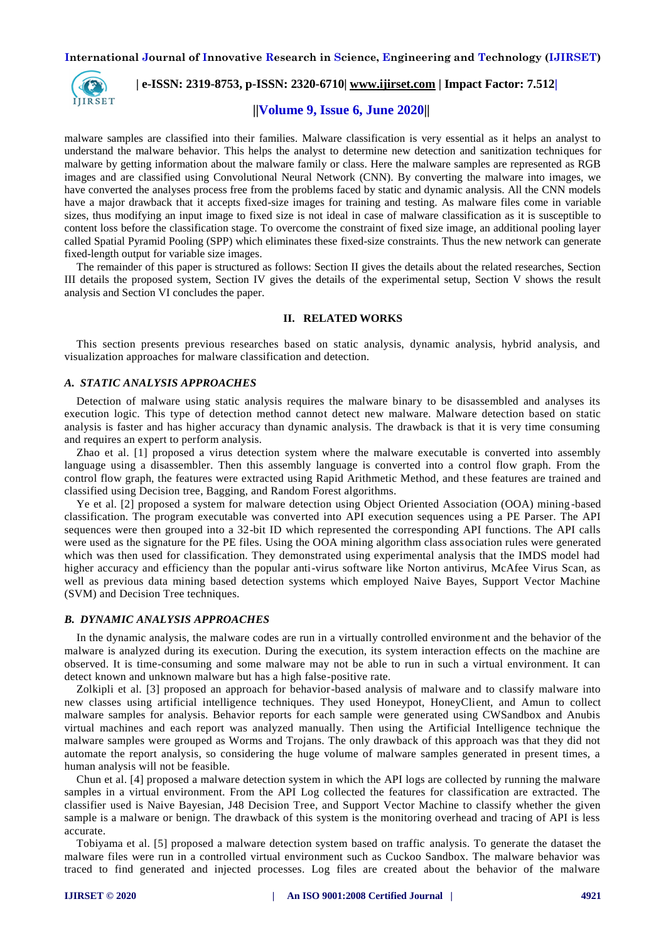

 **| e-ISSN: 2319-8753, p-ISSN: 2320-6710| www.ijirset.com | Impact Factor: 7.512|**

# **||Volume 9, Issue 6, June 2020||**

malware samples are classified into their families. Malware classification is very essential as it helps an analyst to understand the malware behavior. This helps the analyst to determine new detection and sanitization techniques for malware by getting information about the malware family or class. Here the malware samples are represented as RGB images and are classified using Convolutional Neural Network (CNN). By converting the malware into images, we have converted the analyses process free from the problems faced by static and dynamic analysis. All the CNN models have a major drawback that it accepts fixed-size images for training and testing. As malware files come in variable sizes, thus modifying an input image to fixed size is not ideal in case of malware classification as it is susceptible to content loss before the classification stage. To overcome the constraint of fixed size image, an additional pooling layer called Spatial Pyramid Pooling (SPP) which eliminates these fixed-size constraints. Thus the new network can generate fixed-length output for variable size images.

The remainder of this paper is structured as follows: Section II gives the details about the related researches, Section III details the proposed system, Section IV gives the details of the experimental setup, Section V shows the result analysis and Section VI concludes the paper.

#### **II. RELATED WORKS**

This section presents previous researches based on static analysis, dynamic analysis, hybrid analysis, and visualization approaches for malware classification and detection.

## *A. STATIC ANALYSIS APPROACHES*

Detection of malware using static analysis requires the malware binary to be disassembled and analyses its execution logic. This type of detection method cannot detect new malware. Malware detection based on static analysis is faster and has higher accuracy than dynamic analysis. The drawback is that it is very time consuming and requires an expert to perform analysis.

Zhao et al. [1] proposed a virus detection system where the malware executable is converted into assembly language using a disassembler. Then this assembly language is converted into a control flow graph. From the control flow graph, the features were extracted using Rapid Arithmetic Method, and these features are trained and classified using Decision tree, Bagging, and Random Forest algorithms.

Ye et al. [2] proposed a system for malware detection using Object Oriented Association (OOA) mining -based classification. The program executable was converted into API execution sequences using a PE Parser. The API sequences were then grouped into a 32-bit ID which represented the corresponding API functions. The API calls were used as the signature for the PE files. Using the OOA mining algorithm class association rules were generated which was then used for classification. They demonstrated using experimental analysis that the IMDS model had higher accuracy and efficiency than the popular anti-virus software like Norton antivirus, McAfee Virus Scan, as well as previous data mining based detection systems which employed Naive Bayes, Support Vector Machine (SVM) and Decision Tree techniques.

## *B. DYNAMIC ANALYSIS APPROACHES*

In the dynamic analysis, the malware codes are run in a virtually controlled environment and the behavior of the malware is analyzed during its execution. During the execution, its system interaction effects on the machine are observed. It is time-consuming and some malware may not be able to run in such a virtual environment. It can detect known and unknown malware but has a high false-positive rate.

Zolkipli et al. [3] proposed an approach for behavior-based analysis of malware and to classify malware into new classes using artificial intelligence techniques. They used Honeypot, HoneyClient, and Amun to collect malware samples for analysis. Behavior reports for each sample were generated using CWSandbox and Anubis virtual machines and each report was analyzed manually. Then using the Artificial Intelligence technique the malware samples were grouped as Worms and Trojans. The only drawback of this approach was that they did not automate the report analysis, so considering the huge volume of malware samples generated in present times, a human analysis will not be feasible.

Chun et al. [4] proposed a malware detection system in which the API logs are collected by running the malware samples in a virtual environment. From the API Log collected the features for classification are extracted. The classifier used is Naive Bayesian, J48 Decision Tree, and Support Vector Machine to classify whether the given sample is a malware or benign. The drawback of this system is the monitoring overhead and tracing of API is less accurate.

Tobiyama et al. [5] proposed a malware detection system based on traffic analysis. To generate the dataset the malware files were run in a controlled virtual environment such as Cuckoo Sandbox. The malware behavior was traced to find generated and injected processes. Log files are created about the behavior of the malware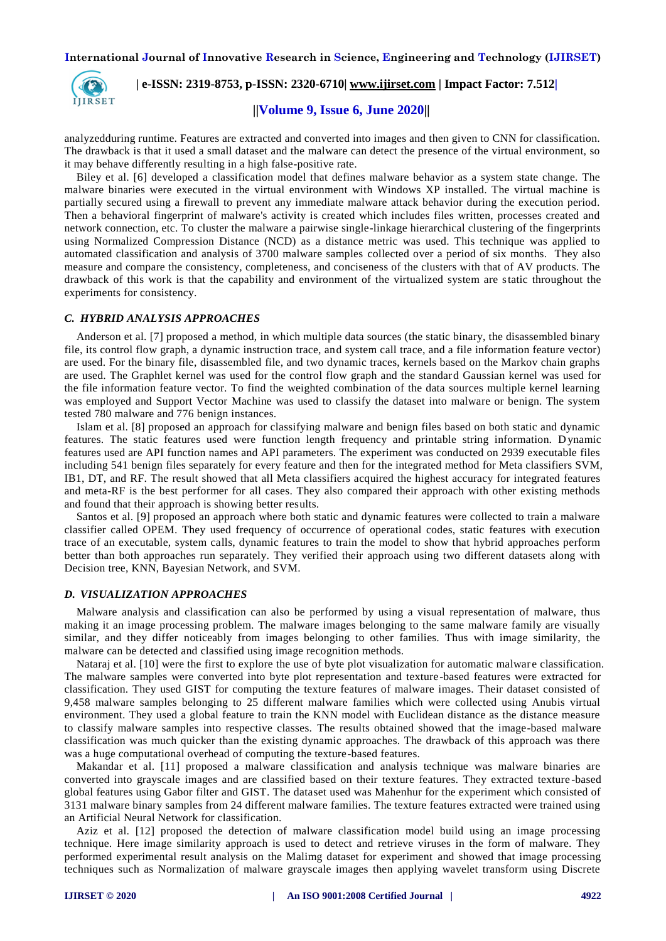

 **| e-ISSN: 2319-8753, p-ISSN: 2320-6710| www.ijirset.com | Impact Factor: 7.512|**

# **||Volume 9, Issue 6, June 2020||**

analyzedduring runtime. Features are extracted and converted into images and then given to CNN for classification. The drawback is that it used a small dataset and the malware can detect the presence of the virtual environment, so it may behave differently resulting in a high false-positive rate.

Biley et al. [6] developed a classification model that defines malware behavior as a system state change. The malware binaries were executed in the virtual environment with Windows XP installed. The virtual machine is partially secured using a firewall to prevent any immediate malware attack behavior during the execution period. Then a behavioral fingerprint of malware's activity is created which includes files written, processes created and network connection, etc. To cluster the malware a pairwise single-linkage hierarchical clustering of the fingerprints using Normalized Compression Distance (NCD) as a distance metric was used. This technique was applied to automated classification and analysis of 3700 malware samples collected over a period of six months. They also measure and compare the consistency, completeness, and conciseness of the clusters with that of AV products. The drawback of this work is that the capability and environment of the virtualized system are static throughout the experiments for consistency.

## *C. HYBRID ANALYSIS APPROACHES*

Anderson et al. [7] proposed a method, in which multiple data sources (the static binary, the disassembled binary file, its control flow graph, a dynamic instruction trace, and system call trace, and a file information feature vector) are used. For the binary file, disassembled file, and two dynamic traces, kernels based on the Markov chain graphs are used. The Graphlet kernel was used for the control flow graph and the standard Gaussian kernel was used for the file information feature vector. To find the weighted combination of the data sources multiple kernel learning was employed and Support Vector Machine was used to classify the dataset into malware or benign. The system tested 780 malware and 776 benign instances.

Islam et al. [8] proposed an approach for classifying malware and benign files based on both static and dynamic features. The static features used were function length frequency and printable string information. Dynamic features used are API function names and API parameters. The experiment was conducted on 2939 executable files including 541 benign files separately for every feature and then for the integrated method for Meta classifiers SVM, IB1, DT, and RF. The result showed that all Meta classifiers acquired the highest accuracy for integrated features and meta-RF is the best performer for all cases. They also compared their approach with other existing methods and found that their approach is showing better results.

Santos et al. [9] proposed an approach where both static and dynamic features were collected to train a malware classifier called OPEM. They used frequency of occurrence of operational codes, static features with execution trace of an executable, system calls, dynamic features to train the model to show that hybrid approaches perform better than both approaches run separately. They verified their approach using two different datasets along with Decision tree, KNN, Bayesian Network, and SVM.

# *D. VISUALIZATION APPROACHES*

Malware analysis and classification can also be performed by using a visual representation of malware, thus making it an image processing problem. The malware images belonging to the same malware family are visually similar, and they differ noticeably from images belonging to other families. Thus with image similarity, the malware can be detected and classified using image recognition methods.

Nataraj et al. [10] were the first to explore the use of byte plot visualization for automatic malware classification. The malware samples were converted into byte plot representation and texture-based features were extracted for classification. They used GIST for computing the texture features of malware images. Their dataset consisted of 9,458 malware samples belonging to 25 different malware families which were collected using Anubis virtual environment. They used a global feature to train the KNN model with Euclidean distance as the distance measure to classify malware samples into respective classes. The results obtained showed that the image-based malware classification was much quicker than the existing dynamic approaches. The drawback of this approach was there was a huge computational overhead of computing the texture-based features.

Makandar et al. [11] proposed a malware classification and analysis technique was malware binaries are converted into grayscale images and are classified based on their texture features. They extracted texture -based global features using Gabor filter and GIST. The dataset used was Mahenhur for the experiment which consisted of 3131 malware binary samples from 24 different malware families. The texture features extracted were trained using an Artificial Neural Network for classification.

Aziz et al. [12] proposed the detection of malware classification model build using an image processing technique. Here image similarity approach is used to detect and retrieve viruses in the form of malware. They performed experimental result analysis on the Malimg dataset for experiment and showed that image processing techniques such as Normalization of malware grayscale images then applying wavelet transform using Discrete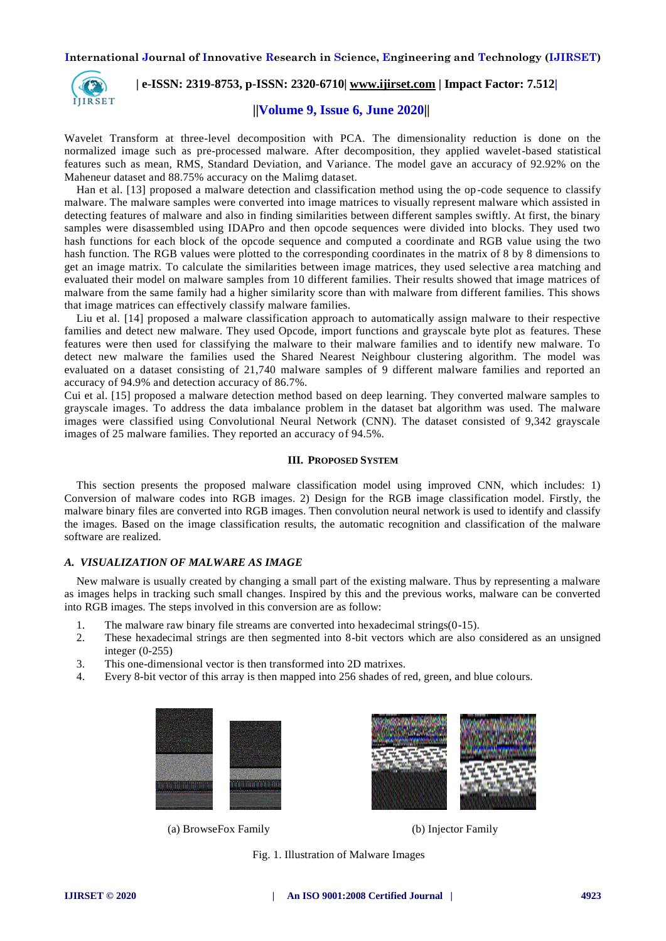

 **| e-ISSN: 2319-8753, p-ISSN: 2320-6710| www.ijirset.com | Impact Factor: 7.512|**

# **||Volume 9, Issue 6, June 2020||**

Wavelet Transform at three-level decomposition with PCA. The dimensionality reduction is done on the normalized image such as pre-processed malware. After decomposition, they applied wavelet-based statistical features such as mean, RMS, Standard Deviation, and Variance. The model gave an accuracy of 92.92% on the Maheneur dataset and 88.75% accuracy on the Malimg dataset.

Han et al. [13] proposed a malware detection and classification method using the op -code sequence to classify malware. The malware samples were converted into image matrices to visually represent malware which assisted in detecting features of malware and also in finding similarities between different samples swiftly. At first, the binary samples were disassembled using IDAPro and then opcode sequences were divided into blocks. They used two hash functions for each block of the opcode sequence and computed a coordinate and RGB value using the two hash function. The RGB values were plotted to the corresponding coordinates in the matrix of 8 by 8 dimensions to get an image matrix. To calculate the similarities between image matrices, they used selective a rea matching and evaluated their model on malware samples from 10 different families. Their results showed that image matrices of malware from the same family had a higher similarity score than with malware from different families. This shows that image matrices can effectively classify malware families.

Liu et al. [14] proposed a malware classification approach to automatically assign malware to their respective families and detect new malware. They used Opcode, import functions and grayscale byte plot as features. These features were then used for classifying the malware to their malware families and to identify new malware. To detect new malware the families used the Shared Nearest Neighbour clustering algorithm. The model was evaluated on a dataset consisting of 21,740 malware samples of 9 different malware families and reported an accuracy of 94.9% and detection accuracy of 86.7%.

Cui et al. [15] proposed a malware detection method based on deep learning. They converted malware samples to grayscale images. To address the data imbalance problem in the dataset bat algorithm was used. The malware images were classified using Convolutional Neural Network (CNN). The dataset consisted of 9,342 grayscale images of 25 malware families. They reported an accuracy of 94.5%.

## **III. PROPOSED SYSTEM**

This section presents the proposed malware classification model using improved CNN, which includes: 1) Conversion of malware codes into RGB images. 2) Design for the RGB image classification model. Firstly, the malware binary files are converted into RGB images. Then convolution neural network is used to identify and classify the images. Based on the image classification results, the automatic recognition and classification of the malware software are realized.

## *A. VISUALIZATION OF MALWARE AS IMAGE*

New malware is usually created by changing a small part of the existing malware. Thus by representing a malware as images helps in tracking such small changes. Inspired by this and the previous works, malware can be converted into RGB images. The steps involved in this conversion are as follow:

- 1. The malware raw binary file streams are converted into hexadecimal strings(0-15).
- 2. These hexadecimal strings are then segmented into 8-bit vectors which are also considered as an unsigned integer (0-255)
- 3. This one-dimensional vector is then transformed into 2D matrixes.
- 4. Every 8-bit vector of this array is then mapped into 256 shades of red, green, and blue colours.



(a) BrowseFox Family (b) Injector Family



Fig. 1. Illustration of Malware Images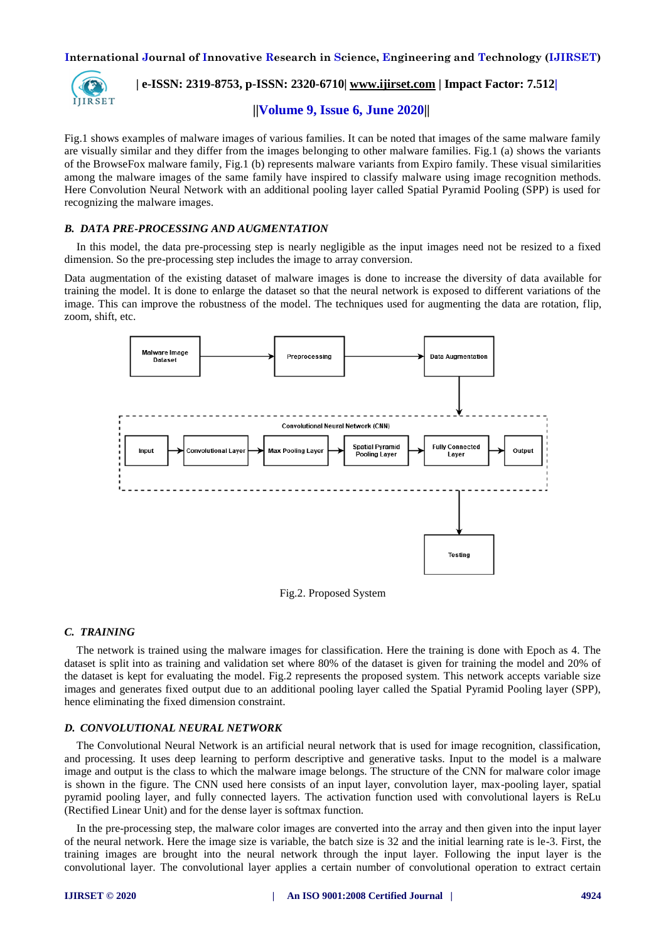

 **| e-ISSN: 2319-8753, p-ISSN: 2320-6710| www.ijirset.com | Impact Factor: 7.512|**

# **||Volume 9, Issue 6, June 2020||**

Fig.1 shows examples of malware images of various families. It can be noted that images of the same malware family are visually similar and they differ from the images belonging to other malware families. Fig.1 (a) shows the variants of the BrowseFox malware family, Fig.1 (b) represents malware variants from Expiro family. These visual similarities among the malware images of the same family have inspired to classify malware using image recognition methods. Here Convolution Neural Network with an additional pooling layer called Spatial Pyramid Pooling (SPP) is used for recognizing the malware images.

# *B. DATA PRE-PROCESSING AND AUGMENTATION*

In this model, the data pre-processing step is nearly negligible as the input images need not be resized to a fixed dimension. So the pre-processing step includes the image to array conversion.

Data augmentation of the existing dataset of malware images is done to increase the diversity of data available for training the model. It is done to enlarge the dataset so that the neural network is exposed to different variations of the image. This can improve the robustness of the model. The techniques used for augmenting the data are rotation, flip, zoom, shift, etc.



Fig.2. Proposed System

## *C. TRAINING*

The network is trained using the malware images for classification. Here the training is done with Epoch as 4. The dataset is split into as training and validation set where 80% of the dataset is given for training the model and 20% of the dataset is kept for evaluating the model. Fig.2 represents the proposed system. This network accepts variable size images and generates fixed output due to an additional pooling layer called the Spatial Pyramid Pooling layer (SPP), hence eliminating the fixed dimension constraint.

## *D. CONVOLUTIONAL NEURAL NETWORK*

The Convolutional Neural Network is an artificial neural network that is used for image recognition, classification, and processing. It uses deep learning to perform descriptive and generative tasks. Input to the model is a malware image and output is the class to which the malware image belongs. The structure of the CNN for malware color image is shown in the figure. The CNN used here consists of an input layer, convolution layer, max-pooling layer, spatial pyramid pooling layer, and fully connected layers. The activation function used with convolutional layers is ReLu (Rectified Linear Unit) and for the dense layer is softmax function.

In the pre-processing step, the malware color images are converted into the array and then given into the input layer of the neural network. Here the image size is variable, the batch size is 32 and the initial learning rate is le-3. First, the training images are brought into the neural network through the input layer. Following the input layer is the convolutional layer. The convolutional layer applies a certain number of convolutional operation to extract certain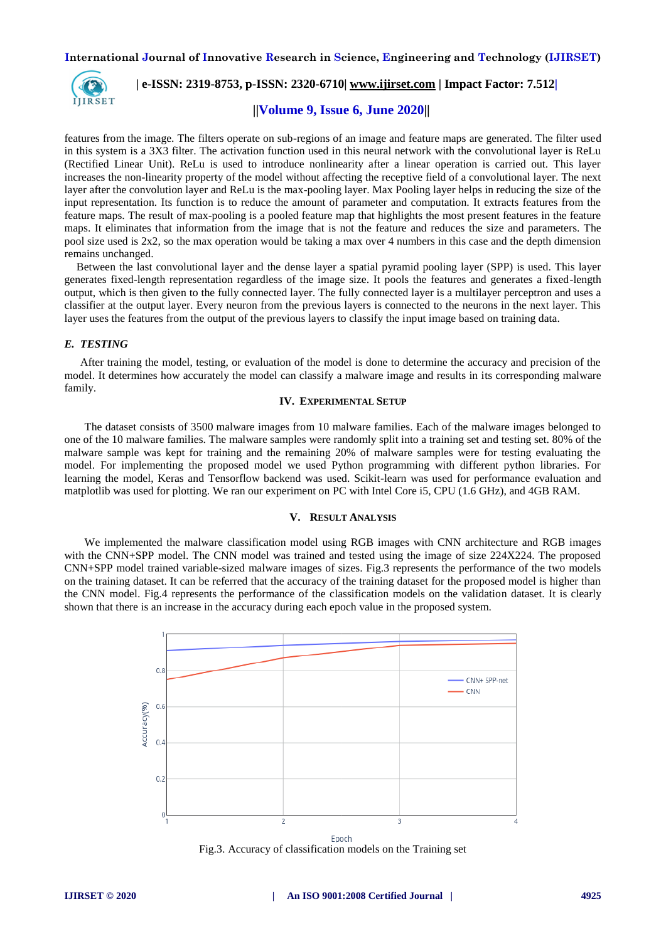

 **| e-ISSN: 2319-8753, p-ISSN: 2320-6710| www.ijirset.com | Impact Factor: 7.512|**

# **||Volume 9, Issue 6, June 2020||**

features from the image. The filters operate on sub-regions of an image and feature maps are generated. The filter used in this system is a 3X3 filter. The activation function used in this neural network with the convolutional layer is ReLu (Rectified Linear Unit). ReLu is used to introduce nonlinearity after a linear operation is carried out. This layer increases the non-linearity property of the model without affecting the receptive field of a convolutional layer. The next layer after the convolution layer and ReLu is the max-pooling layer. Max Pooling layer helps in reducing the size of the input representation. Its function is to reduce the amount of parameter and computation. It extracts features from the feature maps. The result of max-pooling is a pooled feature map that highlights the most present features in the feature maps. It eliminates that information from the image that is not the feature and reduces the size and parameters. The pool size used is 2x2, so the max operation would be taking a max over 4 numbers in this case and the depth dimension remains unchanged.

Between the last convolutional layer and the dense layer a spatial pyramid pooling layer (SPP) is used. This layer generates fixed-length representation regardless of the image size. It pools the features and generates a fixed-length output, which is then given to the fully connected layer. The fully connected layer is a multilayer perceptron and uses a classifier at the output layer. Every neuron from the previous layers is connected to the neurons in the next layer. This layer uses the features from the output of the previous layers to classify the input image based on training data.

## *E. TESTING*

After training the model, testing, or evaluation of the model is done to determine the accuracy and precision of the model. It determines how accurately the model can classify a malware image and results in its corresponding malware family.

## **IV. EXPERIMENTAL SETUP**

The dataset consists of 3500 malware images from 10 malware families. Each of the malware images belonged to one of the 10 malware families. The malware samples were randomly split into a training set and testing set. 80% of the malware sample was kept for training and the remaining 20% of malware samples were for testing evaluating the model. For implementing the proposed model we used Python programming with different python libraries. For learning the model, Keras and Tensorflow backend was used. Scikit-learn was used for performance evaluation and matplotlib was used for plotting. We ran our experiment on PC with Intel Core i5, CPU (1.6 GHz), and 4GB RAM.

#### **V. RESULT ANALYSIS**

We implemented the malware classification model using RGB images with CNN architecture and RGB images with the CNN+SPP model. The CNN model was trained and tested using the image of size 224X224. The proposed CNN+SPP model trained variable-sized malware images of sizes. Fig.3 represents the performance of the two models on the training dataset. It can be referred that the accuracy of the training dataset for the proposed model is higher than the CNN model. Fig.4 represents the performance of the classification models on the validation dataset. It is clearly shown that there is an increase in the accuracy during each epoch value in the proposed system.



Epoch Fig.3. Accuracy of classification models on the Training set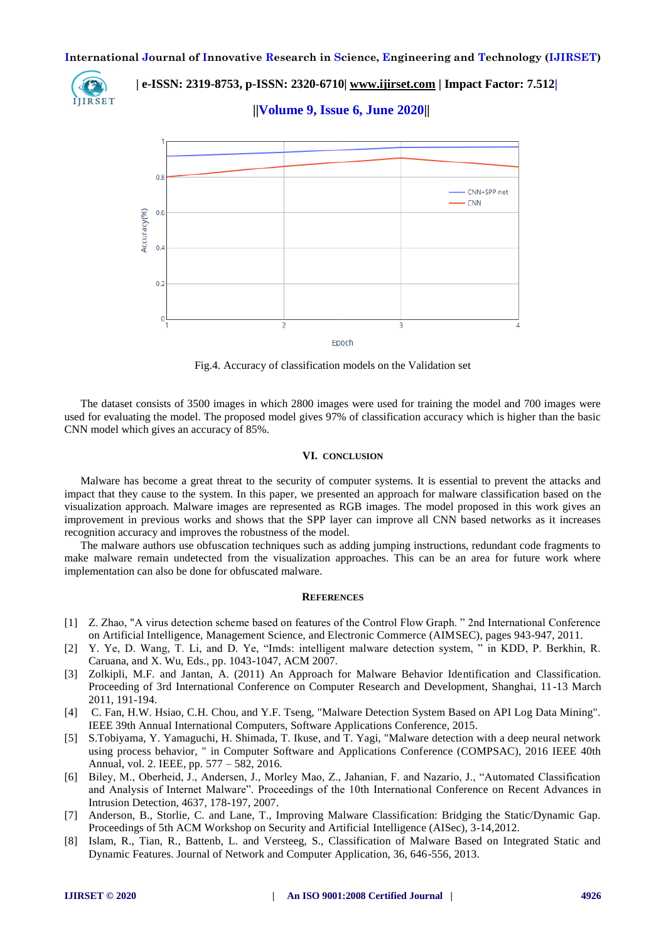

 **| e-ISSN: 2319-8753, p-ISSN: 2320-6710| www.ijirset.com | Impact Factor: 7.512|**

 **||Volume 9, Issue 6, June 2020||** 



Fig.4. Accuracy of classification models on the Validation set

The dataset consists of 3500 images in which 2800 images were used for training the model and 700 images were used for evaluating the model. The proposed model gives 97% of classification accuracy which is higher than the basic CNN model which gives an accuracy of 85%.

## **VI. CONCLUSION**

Malware has become a great threat to the security of computer systems. It is essential to prevent the attacks and impact that they cause to the system. In this paper, we presented an approach for malware classification based on the visualization approach. Malware images are represented as RGB images. The model proposed in this work gives an improvement in previous works and shows that the SPP layer can improve all CNN based networks as it increases recognition accuracy and improves the robustness of the model.

The malware authors use obfuscation techniques such as adding jumping instructions, redundant code fragments to make malware remain undetected from the visualization approaches. This can be an area for future work where implementation can also be done for obfuscated malware.

## **REFERENCES**

- [1] Z. Zhao, "A virus detection scheme based on features of the Control Flow Graph. " 2nd International Conference on Artificial Intelligence, Management Science, and Electronic Commerce (AIMSEC), pages 943-947, 2011.
- [2] Y. Ye, D. Wang, T. Li, and D. Ye, "Imds: intelligent malware detection system, " in KDD, P. Berkhin, R. Caruana, and X. Wu, Eds., pp. 1043-1047, ACM 2007.
- [3] Zolkipli, M.F. and Jantan, A. (2011) An Approach for Malware Behavior Identification and Classification. Proceeding of 3rd International Conference on Computer Research and Development, Shanghai, 11-13 March 2011, 191-194.
- [4] C. Fan, H.W. Hsiao, C.H. Chou, and Y.F. Tseng, "Malware Detection System Based on API Log Data Mining". IEEE 39th Annual International Computers, Software Applications Conference, 2015.
- [5] S.Tobiyama, Y. Yamaguchi, H. Shimada, T. Ikuse, and T. Yagi, "Malware detection with a deep neural network using process behavior, " in Computer Software and Applications Conference (COMPSAC), 2016 IEEE 40th Annual, vol. 2. IEEE, pp. 577 – 582, 2016.
- [6] Biley, M., Oberheid, J., Andersen, J., Morley Mao, Z., Jahanian, F. and Nazario, J., "Automated Classification and Analysis of Internet Malware". Proceedings of the 10th International Conference on Recent Advances in Intrusion Detection, 4637, 178-197, 2007.
- [7] Anderson, B., Storlie, C. and Lane, T., Improving Malware Classification: Bridging the Static/Dynamic Gap. Proceedings of 5th ACM Workshop on Security and Artificial Intelligence (AISec), 3-14,2012.
- [8] Islam, R., Tian, R., Battenb, L. and Versteeg, S., Classification of Malware Based on Integrated Static and Dynamic Features. Journal of Network and Computer Application, 36, 646-556, 2013.